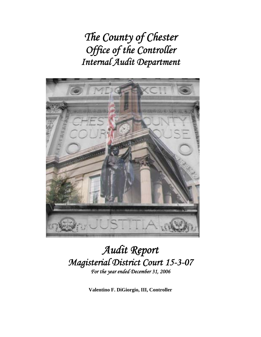*The County of Chester Office of the Controller Internal Audit Department* 



## *Audit Report Magisterial District Court 15-3-07 For the year ended December 31, 2006*

**Valentino F. DiGiorgio, III, Controller**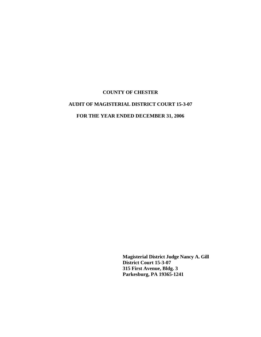#### **AUDIT OF MAGISTERIAL DISTRICT COURT 15-3-07**

## **FOR THE YEAR ENDED DECEMBER 31, 2006**

 **Magisterial District Judge Nancy A. Gill District Court 15-3-07 315 First Avenue, Bldg. 3 Parkesburg, PA 19365-1241**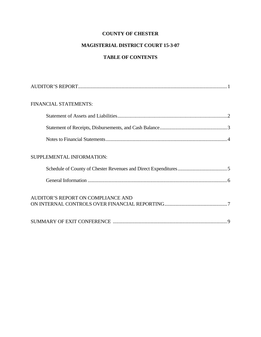## **MAGISTERIAL DISTRICT COURT 15-3-07**

## **TABLE OF CONTENTS**

| FINANCIAL STATEMENTS:              |
|------------------------------------|
|                                    |
|                                    |
|                                    |
| SUPPLEMENTAL INFORMATION:          |
|                                    |
|                                    |
| AUDITOR'S REPORT ON COMPLIANCE AND |
|                                    |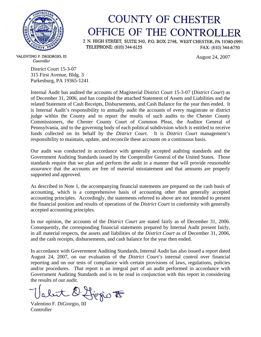

# **COUNTY OF CHESTER** OFFICE OF THE CONTROLLER

2 N. HIGH STREET, SUITE 540, P.O. BOX 2748, WEST CHESTER, PA 19380-0991 TELEPHONE: (610) 344-6155 FAX: (610) 344-6750

August 24, 2007

VALENTINO F. DIGIORGIO, III Controller

> District Court 15-3-07 315 First Avenue, Bldg. 3 Parkesburg, PA 19365-1241

Internal Audit has audited the accounts of Magisterial District Court 15-3-07 (*District Court*) as of December 31, 2006, and has compiled the attached Statement of Assets and Liabilities and the related Statement of Cash Receipts, Disbursements, and Cash Balance for the year then ended. It is Internal Audit's responsibility to annually audit the accounts of every magistrate or district judge within the County and to report the results of such audits to the Chester County Commissioners, the Chester County Court of Common Pleas, the Auditor General of Pennsylvania, and to the governing body of each political subdivision which is entitled to receive funds collected on its behalf by the *District Court*. It is *District Court* management's responsibility to maintain, update, and reconcile these accounts on a continuous basis.

Our audit was conducted in accordance with generally accepted auditing standards and the Government Auditing Standards issued by the Comptroller General of the United States. Those standards require that we plan and perform the audit in a manner that will provide *reasonable assurance* that the accounts are free of material misstatement and that amounts are properly supported and approved.

As described in Note 1, the accompanying financial statements are prepared on the cash basis of accounting, which is a comprehensive basis of accounting other than generally accepted accounting principles. Accordingly, the statements referred to above are not intended to present the financial position and results of operations of the *District Court* in conformity with generally accepted accounting principles.

In our opinion, the accounts of the *District Court* are stated fairly as of December 31, 2006. Consequently, the corresponding financial statements prepared by Internal Audit present fairly, in all material respects, the assets and liabilities of the *District Court* as of December 31, 2006, and the cash receipts, disbursements, and cash balance for the year then ended.

In accordance with Government Auditing Standards, Internal Audit has also issued a report dated August 24, 2007, on our evaluation of the *District Court's* internal control over financial reporting and on our tests of compliance with certain provisions of laws, regulations, policies and/or procedures. That report is an integral part of an audit performed in accordance with Government Auditing Standards and is to be read in conjunction with this report in considering the results of our audit.

Valent D. Livigio F

Controller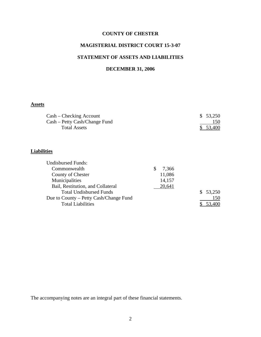## **MAGISTERIAL DISTRICT COURT 15-3-07**

## **STATEMENT OF ASSETS AND LIABILITIES**

## **DECEMBER 31, 2006**

## **Assets**

| $Cash - Checking$ Account     | \$53,250 |
|-------------------------------|----------|
| Cash – Petty Cash/Change Fund | 150      |
| Total Assets                  | \$53,400 |

## **Liabilities**

| <b>Undisbursed Funds:</b>              |        |          |
|----------------------------------------|--------|----------|
| Commonwealth                           | 7,366  |          |
| County of Chester                      | 11,086 |          |
| Municipalities                         | 14,157 |          |
| Bail, Restitution, and Collateral      | 20,641 |          |
| <b>Total Undisbursed Funds</b>         |        | \$53,250 |
| Due to County – Petty Cash/Change Fund |        | 150      |
| <b>Total Liabilities</b>               |        |          |
|                                        |        |          |

The accompanying notes are an integral part of these financial statements.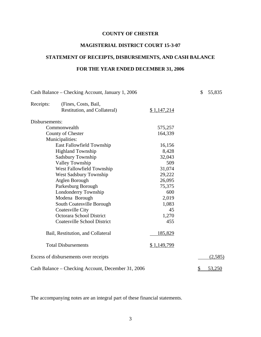#### **MAGISTERIAL DISTRICT COURT 15-3-07**

## **STATEMENT OF RECEIPTS, DISBURSEMENTS, AND CASH BALANCE**

### **FOR THE YEAR ENDED DECEMBER 31, 2006**

| Cash Balance – Checking Account, January 1, 2006 |                                                    |             | \$<br>55,835 |
|--------------------------------------------------|----------------------------------------------------|-------------|--------------|
| Receipts:                                        | (Fines, Costs, Bail,                               |             |              |
|                                                  | Restitution, and Collateral)                       | \$1,147,214 |              |
| Disbursements:                                   |                                                    |             |              |
|                                                  | Commonwealth                                       | 575,257     |              |
|                                                  | County of Chester                                  | 164,339     |              |
|                                                  | Municipalities:                                    |             |              |
|                                                  | <b>East Fallowfield Township</b>                   | 16,156      |              |
|                                                  | <b>Highland Township</b>                           | 8,428       |              |
|                                                  | Sadsbury Township                                  | 32,043      |              |
|                                                  | <b>Valley Township</b>                             | 509         |              |
|                                                  | West Fallowfield Township                          | 31,074      |              |
|                                                  | <b>West Sadsbury Township</b>                      | 29,222      |              |
|                                                  | Atglen Borough                                     | 26,095      |              |
|                                                  | Parkesburg Borough                                 | 75,375      |              |
|                                                  | Londonderry Township                               | 600         |              |
|                                                  | Modena Borough                                     | 2,019       |              |
|                                                  | South Coatesville Borough                          | 1,083       |              |
|                                                  | <b>Coatesville City</b>                            | 45          |              |
|                                                  | Octorara School District                           | 1,270       |              |
|                                                  | <b>Coatesville School District</b>                 | 455         |              |
|                                                  | Bail, Restitution, and Collateral                  | 185,829     |              |
|                                                  | <b>Total Disbursements</b>                         | \$1,149,799 |              |
|                                                  | Excess of disbursements over receipts              |             | (2,585)      |
|                                                  | Cash Balance – Checking Account, December 31, 2006 |             | \$<br>53,250 |

The accompanying notes are an integral part of these financial statements.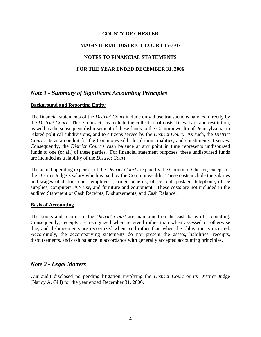#### **MAGISTERIAL DISTRICT COURT 15-3-07**

#### **NOTES TO FINANCIAL STATEMENTS**

#### **FOR THE YEAR ENDED DECEMBER 31, 2006**

## *Note 1 - Summary of Significant Accounting Principles*

#### **Background and Reporting Entity**

The financial statements of the *District Court* include only those transactions handled directly by the *District Court*. These transactions include the collection of costs, fines, bail, and restitution, as well as the subsequent disbursement of these funds to the Commonwealth of Pennsylvania, to related political subdivisions, and to citizens served by the *District Court.* As such, the *District Court* acts as a conduit for the Commonwealth, local municipalities, and constituents it serves. Consequently, the *District Court's* cash balance at any point in time represents undisbursed funds to one (or all) of these parties. For financial statement purposes, these undisbursed funds are included as a liability of the *District Court*.

The actual operating expenses of the *District Court* are paid by the County of Chester, except for the District Judge's salary which is paid by the Commonwealth. These costs include the salaries and wages of district court employees, fringe benefits, office rent, postage, telephone, office supplies, computer/LAN use, and furniture and equipment. These costs are not included in the audited Statement of Cash Receipts, Disbursements, and Cash Balance.

#### **Basis of Accounting**

The books and records of the *District Court* are maintained on the cash basis of accounting. Consequently, receipts are recognized when received rather than when assessed or otherwise due, and disbursements are recognized when paid rather than when the obligation is incurred. Accordingly, the accompanying statements do not present the assets, liabilities, receipts, disbursements, and cash balance in accordance with generally accepted accounting principles.

#### *Note 2 - Legal Matters*

Our audit disclosed no pending litigation involving the *District Court* or its District Judge (Nancy A. Gill) for the year ended December 31, 2006.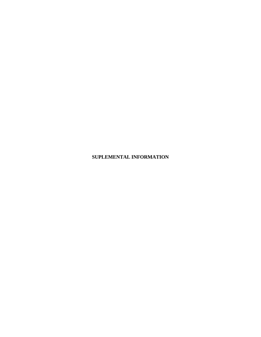**SUPLEMENTAL INFORMATION**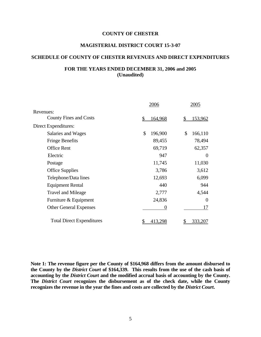#### **MAGISTERIAL DISTRICT COURT 15-3-07**

#### **SCHEDULE OF COUNTY OF CHESTER REVENUES AND DIRECT EXPENDITURES**

#### **FOR THE YEARS ENDED DECEMBER 31, 2006 and 2005 (Unaudited)**

|                                  | 2006             | 2005           |
|----------------------------------|------------------|----------------|
| Revenues:                        |                  |                |
| <b>County Fines and Costs</b>    | \$<br>164,968    | 153,962<br>\$  |
| Direct Expenditures:             |                  |                |
| Salaries and Wages               | \$<br>196,900    | 166,110<br>\$  |
| <b>Fringe Benefits</b>           | 89,455           | 78,494         |
| <b>Office Rent</b>               | 69,719           | 62,357         |
| Electric                         | 947              | $\theta$       |
| Postage                          | 11,745           | 11,030         |
| <b>Office Supplies</b>           | 3,786            | 3,612          |
| Telephone/Data lines             | 12,693           | 6,099          |
| <b>Equipment Rental</b>          | 440              | 944            |
| <b>Travel and Mileage</b>        | 2,777            | 4,544          |
| Furniture & Equipment            | 24,836           | $\overline{0}$ |
| <b>Other General Expenses</b>    | $\left( \right)$ | 17             |
| <b>Total Direct Expenditures</b> | \$<br>413,298    | 333,207        |

**Note 1: The revenue figure per the County of \$164,968 differs from the amount disbursed to the County by the** *District Court* **of \$164,339. This results from the use of the cash basis of accounting by the** *District Court* **and the modified accrual basis of accounting by the County. The** *District Court* **recognizes the disbursement as of the check date, while the County recognizes the revenue in the year the fines and costs are collected by the** *District Court***.**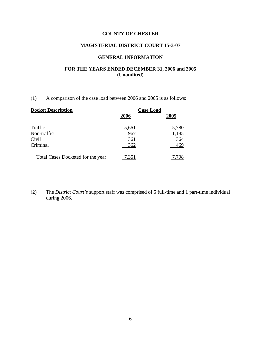## **MAGISTERIAL DISTRICT COURT 15-3-07**

#### **GENERAL INFORMATION**

## **FOR THE YEARS ENDED DECEMBER 31, 2006 and 2005 (Unaudited)**

(1) A comparison of the case load between 2006 and 2005 is as follows:

| <b>Docket Description</b>         | <b>Case Load</b> |       |
|-----------------------------------|------------------|-------|
|                                   | 2006             | 2005  |
| Traffic                           | 5,661            | 5,780 |
| Non-traffic                       | 967              | 1,185 |
| Civil                             | 361              | 364   |
| Criminal                          | 362              | 469   |
| Total Cases Docketed for the year | .351             |       |

(2) The *District Court's* support staff was comprised of 5 full-time and 1 part-time individual during 2006.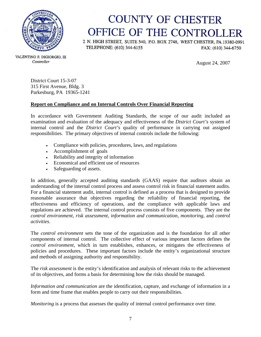

# **COUNTY OF CHESTER** OFFICE OF THE CONTROLLER

2 N. HIGH STREET, SUITE 540, P.O. BOX 2748, WEST CHESTER, PA 19380-0991 TELEPHONE: (610) 344-6155 FAX: (610) 344-6750

August 24, 2007

VALENTINO F. DIGIORGIO, III Controller

> District Court 15-3-07 315 First Avenue, Bldg. 3 Parkesburg, PA 19365-1241

#### **Report on Compliance and on Internal Controls Over Financial Reporting**

In accordance with Government Auditing Standards, the scope of our audit included an examination and evaluation of the adequacy and effectiveness of the *District Court's* system of internal control and the *District Court's* quality of performance in carrying out assigned responsibilities. The primary objectives of internal controls include the following:

- Compliance with policies, procedures, laws, and regulations
- Accomplishment of goals
- Reliability and integrity of information
- Economical and efficient use of resources
- Safeguarding of assets.

In addition, generally accepted auditing standards (GAAS) require that auditors obtain an understanding of the internal control process and assess control risk in financial statement audits. For a financial statement audit, internal control is defined as a process that is designed to provide reasonable assurance that objectives regarding the reliability of financial reporting, the effectiveness and efficiency of operations, and the compliance with applicable laws and regulations are achieved. The internal control process consists of five components. They are the *control environment*, *risk assessment*, *information and communication*, *monitoring*, and *control activities*.

The *control environment* sets the tone of the organization and is the foundation for all other components of internal control. The collective effect of various important factors defines the *control environment*, which in turn establishes, enhances, or mitigates the effectiveness of policies and procedures. These important factors include the entity's organizational structure and methods of assigning authority and responsibility.

The *risk assessment* is the entity's identification and analysis of relevant risks to the achievement of its objectives, and forms a basis for determining how the risks should be managed.

*Information and communication* are the identification, capture, and exchange of information in a form and time frame that enables people to carry out their responsibilities.

*Monitoring* is a process that assesses the quality of internal control performance over time.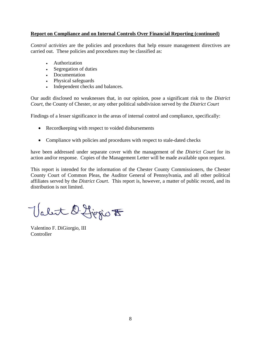#### **Report on Compliance and on Internal Controls Over Financial Reporting (continued)**

*Control activities* are the policies and procedures that help ensure management directives are carried out. These policies and procedures may be classified as:

- Authorization
- Segregation of duties
- Documentation
- Physical safeguards
- Independent checks and balances.

Our audit disclosed no weaknesses that, in our opinion, pose a significant risk to the *District Court*, the County of Chester, or any other political subdivision served by the *District Court* 

Findings of a lesser significance in the areas of internal control and compliance, specifically:

- Recordkeeping with respect to voided disbursements
- Compliance with policies and procedures with respect to stale-dated checks

have been addressed under separate cover with the management of the *District Court* for its action and/or response. Copies of the Management Letter will be made available upon request.

This report is intended for the information of the Chester County Commissioners, the Chester County Court of Common Pleas, the Auditor General of Pennsylvania, and all other political affiliates served by the *District Court*. This report is, however, a matter of public record, and its distribution is not limited.

Valet D. Ljegio F

Valentino F. DiGiorgio, III **Controller**